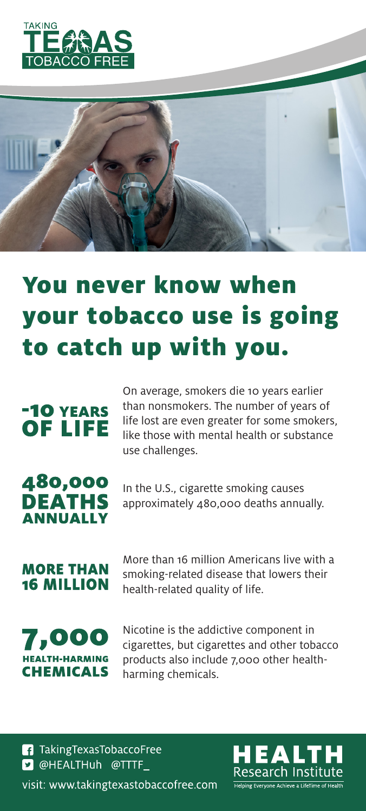



# You never know when your tobacco use is going to catch up with you.

## **-10 YEARS OF LIFE**

On average, smokers die 10 years earlier than nonsmokers. The number of years of life lost are even greater for some smokers, like those with mental health or substance use challenges.

#### 480,000 **DEATHS ANNUALLY**

In the U.S., cigarette smoking causes approximately 480,000 deaths annually.

**MORE THAN 16 MILLION** 

More than 16 million Americans live with a smoking-related disease that lowers their health-related quality of life.

7,000 **HEALTH-HARMING CHEMICALS** 

Nicotine is the addictive component in cigarettes, but cigarettes and other tobacco products also include 7,000 other healthharming chemicals.